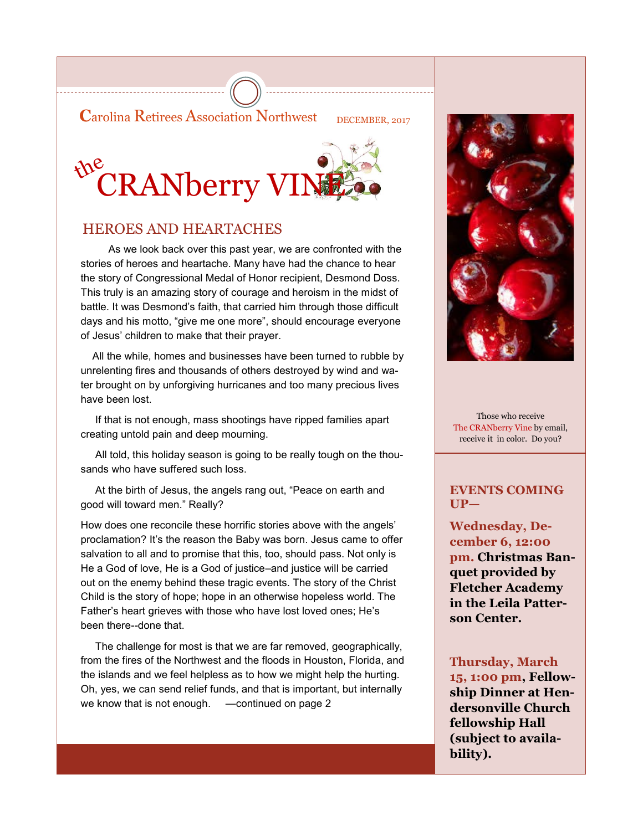**Carolina Retirees Association Northwest** DECEMBER, 2017



### HEROES AND HEARTACHES

 As we look back over this past year, we are confronted with the stories of heroes and heartache. Many have had the chance to hear the story of Congressional Medal of Honor recipient, Desmond Doss. This truly is an amazing story of courage and heroism in the midst of battle. It was Desmond's faith, that carried him through those difficult days and his motto, "give me one more", should encourage everyone of Jesus' children to make that their prayer.

 All the while, homes and businesses have been turned to rubble by unrelenting fires and thousands of others destroyed by wind and water brought on by unforgiving hurricanes and too many precious lives have been lost.

 If that is not enough, mass shootings have ripped families apart creating untold pain and deep mourning.

 All told, this holiday season is going to be really tough on the thousands who have suffered such loss.

 At the birth of Jesus, the angels rang out, "Peace on earth and good will toward men." Really?

How does one reconcile these horrific stories above with the angels' proclamation? It's the reason the Baby was born. Jesus came to offer salvation to all and to promise that this, too, should pass. Not only is He a God of love, He is a God of justice–and justice will be carried out on the enemy behind these tragic events. The story of the Christ Child is the story of hope; hope in an otherwise hopeless world. The Father's heart grieves with those who have lost loved ones; He's been there--done that.

 The challenge for most is that we are far removed, geographically, from the fires of the Northwest and the floods in Houston, Florida, and the islands and we feel helpless as to how we might help the hurting. Oh, yes, we can send relief funds, and that is important, but internally we know that is not enough. —continued on page 2



Those who receive The CRANberry Vine by email, receive it in color. Do you?

#### **EVENTS COMING UP—**

**Wednesday, December 6, 12:00 pm. Christmas Banquet provided by Fletcher Academy in the Leila Patterson Center.**

**Thursday, March 15, 1:00 pm, Fellowship Dinner at Hendersonville Church fellowship Hall (subject to availability).**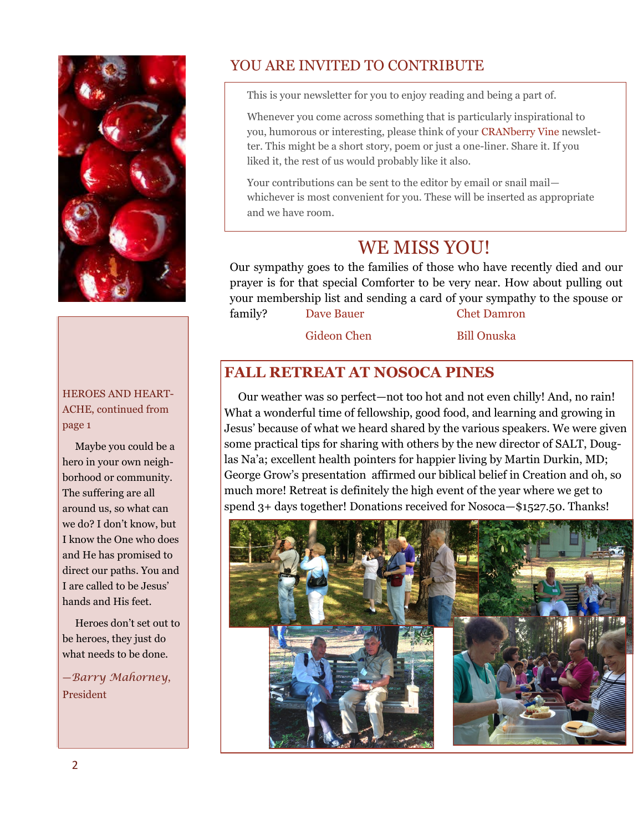

#### HEROES AND HEART-ACHE, continued from page 1

 Maybe you could be a hero in your own neighborhood or community. The suffering are all around us, so what can we do? I don't know, but I know the One who does and He has promised to direct our paths. You and I are called to be Jesus' hands and His feet.

 Heroes don't set out to be heroes, they just do what needs to be done.

—*Barry Mahorney*, President

## YOU ARE INVITED TO CONTRIBUTE

This is your newsletter for you to enjoy reading and being a part of.

Whenever you come across something that is particularly inspirational to you, humorous or interesting, please think of your CRANberry Vine newsletter. This might be a short story, poem or just a one-liner. Share it. If you liked it, the rest of us would probably like it also.

Your contributions can be sent to the editor by email or snail mail whichever is most convenient for you. These will be inserted as appropriate and we have room.

# WE MISS YOU!

Our sympathy goes to the families of those who have recently died and our prayer is for that special Comforter to be very near. How about pulling out your membership list and sending a card of your sympathy to the spouse or family? Dave Bauer Chet Damron

Gideon Chen Bill Onuska

### **FALL RETREAT AT NOSOCA PINES**

 Our weather was so perfect—not too hot and not even chilly! And, no rain! What a wonderful time of fellowship, good food, and learning and growing in Jesus' because of what we heard shared by the various speakers. We were given some practical tips for sharing with others by the new director of SALT, Douglas Na'a; excellent health pointers for happier living by Martin Durkin, MD; George Grow's presentation affirmed our biblical belief in Creation and oh, so much more! Retreat is definitely the high event of the year where we get to spend 3+ days together! Donations received for Nosoca—\$1527.50. Thanks!

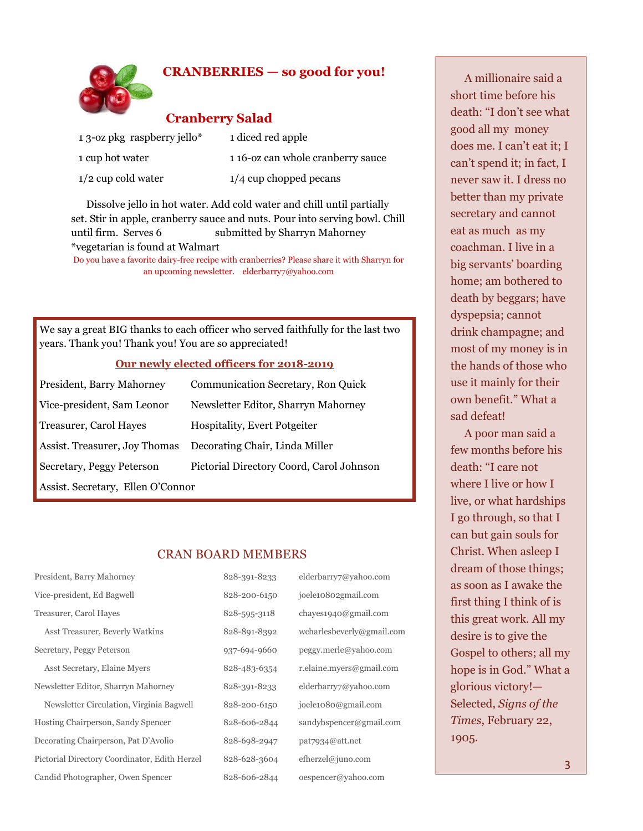#### **CRANBERRIES — so good for you!**



#### **Cranberry Salad**

| 1 3-oz pkg raspberry jello* | 1 diced red apple                |
|-----------------------------|----------------------------------|
| 1 cup hot water             | 116-oz can whole cranberry sauce |
| $1/2$ cup cold water        | $1/4$ cup chopped pecans         |

 Dissolve jello in hot water. Add cold water and chill until partially set. Stir in apple, cranberry sauce and nuts. Pour into serving bowl. Chill until firm. Serves 6 submitted by Sharryn Mahorney \*vegetarian is found at Walmart

Do you have a favorite dairy-free recipe with cranberries? Please share it with Sharryn for an upcoming newsletter. elderbarry7@yahoo.com

We say a great BIG thanks to each officer who served faithfully for the last two years. Thank you! Thank you! You are so appreciated!

#### **Our newly elected officers for 2018-2019**

| President, Barry Mahorney         | <b>Communication Secretary, Ron Quick</b> |
|-----------------------------------|-------------------------------------------|
| Vice-president, Sam Leonor        | Newsletter Editor, Sharryn Mahorney       |
| Treasurer, Carol Hayes            | <b>Hospitality, Evert Potgeiter</b>       |
| Assist. Treasurer, Joy Thomas     | Decorating Chair, Linda Miller            |
| Secretary, Peggy Peterson         | Pictorial Directory Coord, Carol Johnson  |
| Assist. Secretary, Ellen O'Connor |                                           |

#### CRAN BOARD MEMBERS

| President, Barry Mahorney                     | 828-391-8233 | elderbarry7@yahoo.com     |
|-----------------------------------------------|--------------|---------------------------|
| Vice-president, Ed Bagwell                    | 828-200-6150 | joele10802gmail.com       |
| Treasurer, Carol Hayes                        | 828-595-3118 | chayes1940@gmail.com      |
| Asst Treasurer, Beverly Watkins               | 828-891-8392 | wcharlesbeverly@gmail.com |
| Secretary, Peggy Peterson                     | 937-694-9660 | peggy.merle@yahoo.com     |
| Asst Secretary, Elaine Myers                  | 828-483-6354 | r.elaine.myers@gmail.com  |
| Newsletter Editor, Sharryn Mahorney           | 828-391-8233 | elderbarry7@yahoo.com     |
| Newsletter Circulation, Virginia Bagwell      | 828-200-6150 | joele1080@gmail.com       |
| Hosting Chairperson, Sandy Spencer            | 828-606-2844 | sandybspencer@gmail.com   |
| Decorating Chairperson, Pat D'Avolio          | 828-698-2947 | pat7934@att.net           |
| Pictorial Directory Coordinator, Edith Herzel | 828-628-3604 | efherzel@juno.com         |
| Candid Photographer, Owen Spencer             | 828-606-2844 | oespencer@yahoo.com       |

 A millionaire said a short time before his death: "I don't see what good all my money does me. I can't eat it; I can't spend it; in fact, I never saw it. I dress no better than my private secretary and cannot eat as much as my coachman. I live in a big servants' boarding home; am bothered to death by beggars; have dyspepsia; cannot drink champagne; and most of my money is in the hands of those who use it mainly for their own benefit." What a sad defeat!

 A poor man said a few months before his death: "I care not where I live or how I live, or what hardships I go through, so that I can but gain souls for Christ. When asleep I dream of those things; as soon as I awake the first thing I think of is this great work. All my desire is to give the Gospel to others; all my hope is in God." What a glorious victory!— Selected, *Signs of the Times*, February 22, 1905.